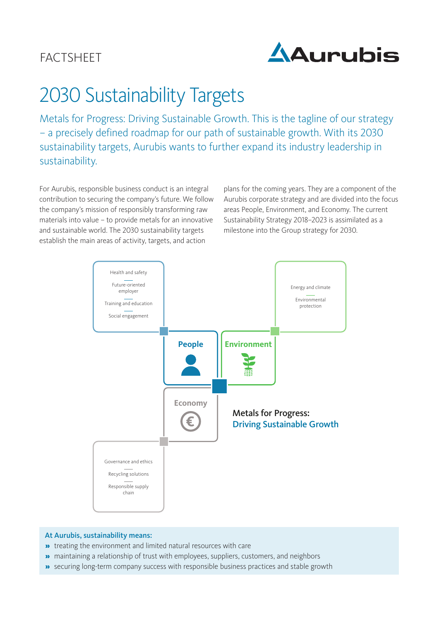## **FACTSHEET**



# 2030 Sustainability Targets

Metals for Progress: Driving Sustainable Growth. This is the tagline of our strategy – a precisely defined roadmap for our path of sustainable growth. With its 2030 sustainability targets, Aurubis wants to further expand its industry leadership in sustainability.

For Aurubis, responsible business conduct is an integral contribution to securing the company's future. We follow the company's mission of responsibly transforming raw materials into value – to provide metals for an innovative and sustainable world. The 2030 sustainability targets establish the main areas of activity, targets, and action

plans for the coming years. They are a component of the Aurubis corporate strategy and are divided into the focus areas People, Environment, and Economy. The current Sustainability Strategy 2018–2023 is assimilated as a milestone into the Group strategy for 2030.



#### At Aurubis, sustainability means:

- » treating the environment and limited natural resources with care
- » maintaining a relationship of trust with employees, suppliers, customers, and neighbors
- » securing long-term company success with responsible business practices and stable growth